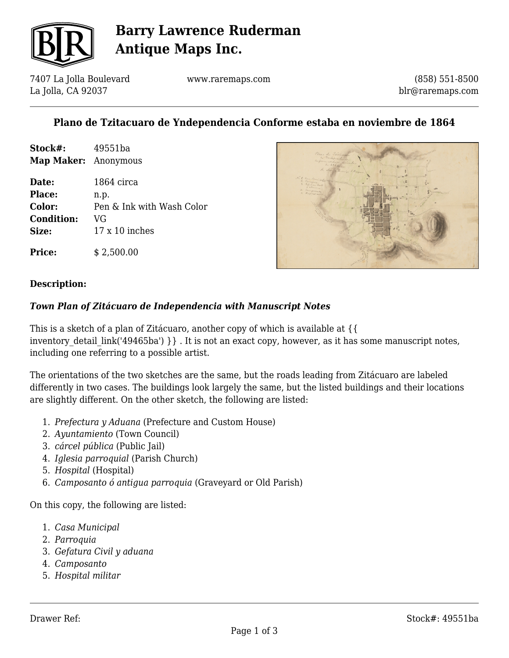

# **Barry Lawrence Ruderman Antique Maps Inc.**

7407 La Jolla Boulevard La Jolla, CA 92037

www.raremaps.com

(858) 551-8500 blr@raremaps.com

### **Plano de Tzitacuaro de Yndependencia Conforme estaba en noviembre de 1864**

**Stock#:** 49551ba **Map Maker:** Anonymous

| Date:             | 1864 circa                |
|-------------------|---------------------------|
| <b>Place:</b>     | n.p.                      |
| Color:            | Pen & Ink with Wash Color |
| <b>Condition:</b> | VG                        |
| Size:             | $17 \times 10$ inches     |



**Description:**

**Price:** \$ 2,500.00

#### *Town Plan of Zitácuaro de Independencia with Manuscript Notes*

This is a sketch of a plan of Zitácuaro, another copy of which is available at {{ inventory detail link('49465ba') } }. It is not an exact copy, however, as it has some manuscript notes, including one referring to a possible artist.

The orientations of the two sketches are the same, but the roads leading from Zitácuaro are labeled differently in two cases. The buildings look largely the same, but the listed buildings and their locations are slightly different. On the other sketch, the following are listed:

- 1. *Prefectura y Aduana* (Prefecture and Custom House)
- 2. *Ayuntamiento* (Town Council)
- 3. *cárcel pública* (Public Jail)
- 4. *Iglesia parroquial* (Parish Church)
- 5. *Hospital* (Hospital)
- 6. *Camposanto ó antigua parroquia* (Graveyard or Old Parish)

On this copy, the following are listed:

- 1. *Casa Municipal*
- 2. *Parroquia*
- 3. *Gefatura Civil y aduana*
- 4. *Camposanto*
- 5. *Hospital militar*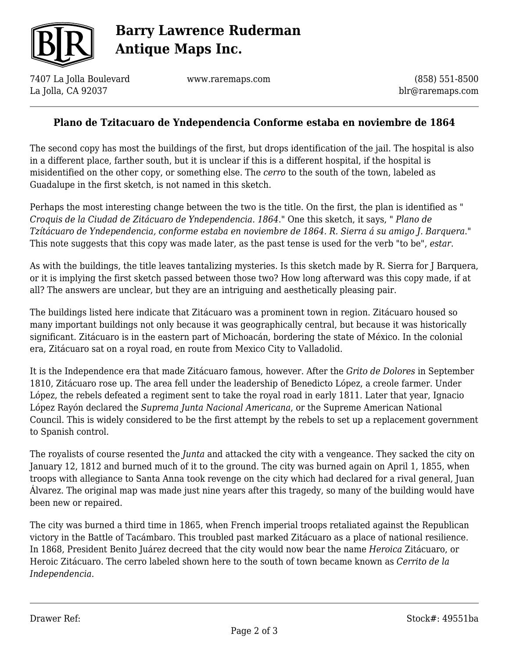

# **Barry Lawrence Ruderman Antique Maps Inc.**

7407 La Jolla Boulevard La Jolla, CA 92037

www.raremaps.com

(858) 551-8500 blr@raremaps.com

#### **Plano de Tzitacuaro de Yndependencia Conforme estaba en noviembre de 1864**

The second copy has most the buildings of the first, but drops identification of the jail. The hospital is also in a different place, farther south, but it is unclear if this is a different hospital, if the hospital is misidentified on the other copy, or something else. The *cerro* to the south of the town, labeled as Guadalupe in the first sketch, is not named in this sketch.

Perhaps the most interesting change between the two is the title. On the first, the plan is identified as " *Croquis de la Ciudad de Zitácuaro de Yndependencia. 1864*." One this sketch, it says, " *Plano de Tzítácuaro de Yndependencia, conforme estaba en noviembre de 1864. R. Sierra á su amigo J. Barquera*." This note suggests that this copy was made later, as the past tense is used for the verb "to be", *estar*.

As with the buildings, the title leaves tantalizing mysteries. Is this sketch made by R. Sierra for J Barquera, or it is implying the first sketch passed between those two? How long afterward was this copy made, if at all? The answers are unclear, but they are an intriguing and aesthetically pleasing pair.

The buildings listed here indicate that Zitácuaro was a prominent town in region. Zitácuaro housed so many important buildings not only because it was geographically central, but because it was historically significant. Zitácuaro is in the eastern part of Michoacán, bordering the state of México. In the colonial era, Zitácuaro sat on a royal road, en route from Mexico City to Valladolid.

It is the Independence era that made Zitácuaro famous, however. After the *Grito de Dolores* in September 1810, Zitácuaro rose up. The area fell under the leadership of Benedicto López, a creole farmer. Under López, the rebels defeated a regiment sent to take the royal road in early 1811. Later that year, Ignacio López Rayón declared the *Suprema Junta Nacional Americana*, or the Supreme American National Council. This is widely considered to be the first attempt by the rebels to set up a replacement government to Spanish control.

The royalists of course resented the *Junta* and attacked the city with a vengeance. They sacked the city on January 12, 1812 and burned much of it to the ground. The city was burned again on April 1, 1855, when troops with allegiance to Santa Anna took revenge on the city which had declared for a rival general, Juan Álvarez. The original map was made just nine years after this tragedy, so many of the building would have been new or repaired.

The city was burned a third time in 1865, when French imperial troops retaliated against the Republican victory in the Battle of Tacámbaro. This troubled past marked Zitácuaro as a place of national resilience. In 1868, President Benito Juárez decreed that the city would now bear the name *Heroica* Zitácuaro, or Heroic Zitácuaro. The cerro labeled shown here to the south of town became known as *Cerrito de la Independencia*.